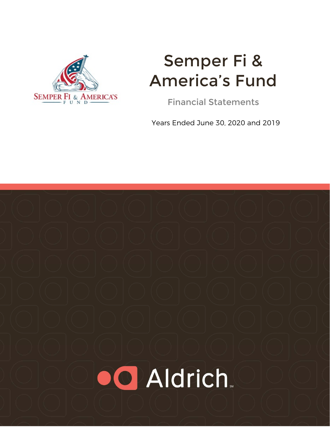

# Semper Fi & America's Fund

Financial Statements

Years Ended June 30, 2020 and 2019

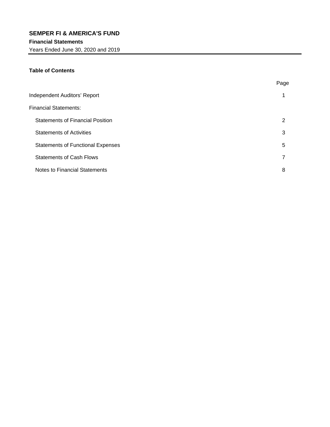## **Financial Statements**

Years Ended June 30, 2020 and 2019

### **Table of Contents**

|                                          | Page |
|------------------------------------------|------|
| Independent Auditors' Report             |      |
| <b>Financial Statements:</b>             |      |
| <b>Statements of Financial Position</b>  | 2    |
| <b>Statements of Activities</b>          | 3    |
| <b>Statements of Functional Expenses</b> | 5    |
| <b>Statements of Cash Flows</b>          |      |
| Notes to Financial Statements            | 8    |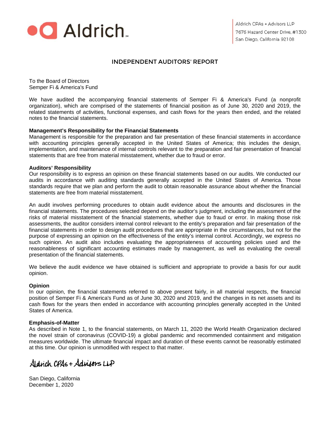

# INDEPENDENT AUDITORS' REPORT

To the Board of Directors Semper Fi & America's Fund

We have audited the accompanying financial statements of Semper Fi & America's Fund (a nonprofit organization), which are comprised of the statements of financial position as of June 30, 2020 and 2019, the related statements of activities, functional expenses, and cash flows for the years then ended, and the related notes to the financial statements.

#### **Management's Responsibility for the Financial Statements**

Management is responsible for the preparation and fair presentation of these financial statements in accordance with accounting principles generally accepted in the United States of America; this includes the design, implementation, and maintenance of internal controls relevant to the preparation and fair presentation of financial statements that are free from material misstatement, whether due to fraud or error.

#### **Auditors' Responsibility**

Our responsibility is to express an opinion on these financial statements based on our audits. We conducted our audits in accordance with auditing standards generally accepted in the United States of America. Those standards require that we plan and perform the audit to obtain reasonable assurance about whether the financial statements are free from material misstatement.

An audit involves performing procedures to obtain audit evidence about the amounts and disclosures in the financial statements. The procedures selected depend on the auditor's judgment, including the assessment of the risks of material misstatement of the financial statements, whether due to fraud or error. In making those risk assessments, the auditor considers internal control relevant to the entity's preparation and fair presentation of the financial statements in order to design audit procedures that are appropriate in the circumstances, but not for the purpose of expressing an opinion on the effectiveness of the entity's internal control. Accordingly, we express no such opinion. An audit also includes evaluating the appropriateness of accounting policies used and the reasonableness of significant accounting estimates made by management, as well as evaluating the overall presentation of the financial statements.

We believe the audit evidence we have obtained is sufficient and appropriate to provide a basis for our audit opinion.

#### **Opinion**

In our opinion, the financial statements referred to above present fairly, in all material respects, the financial position of Semper Fi & America's Fund as of June 30, 2020 and 2019, and the changes in its net assets and its cash flows for the years then ended in accordance with accounting principles generally accepted in the United States of America.

#### **Emphasis-of-Matter**

As described in Note 1, to the financial statements, on March 11, 2020 the World Health Organization declared the novel strain of coronavirus (COVID-19) a global pandemic and recommended containment and mitigation measures worldwide. The ultimate financial impact and duration of these events cannot be reasonably estimated at this time. Our opinion is unmodified with respect to that matter.

Aldrich CRAS + Adriaors LLP

San Diego, California December 1, 2020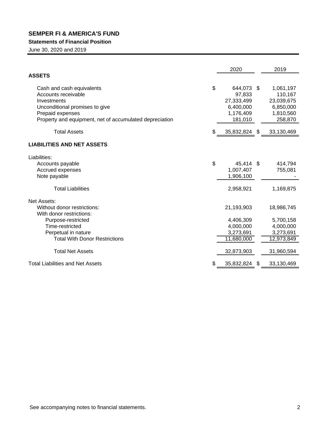# **Statements of Financial Position**

June 30, 2020 and 2019

|                                                                                                                                                                                  | 2020                                                                          | 2019                                                                    |
|----------------------------------------------------------------------------------------------------------------------------------------------------------------------------------|-------------------------------------------------------------------------------|-------------------------------------------------------------------------|
| <b>ASSETS</b>                                                                                                                                                                    |                                                                               |                                                                         |
| Cash and cash equivalents<br>Accounts receivable<br>Investments<br>Unconditional promises to give<br>Prepaid expenses<br>Property and equipment, net of accumulated depreciation | \$<br>644,073 \$<br>97,833<br>27,333,499<br>6,400,000<br>1,176,409<br>181,010 | 1,061,197<br>110,167<br>23,039,675<br>6,850,000<br>1,810,560<br>258,870 |
| <b>Total Assets</b>                                                                                                                                                              | \$<br>35,832,824 \$                                                           | 33,130,469                                                              |
| <b>LIABILITIES AND NET ASSETS</b>                                                                                                                                                |                                                                               |                                                                         |
| Liabilities:                                                                                                                                                                     |                                                                               |                                                                         |
| Accounts payable                                                                                                                                                                 | \$<br>45,414 \$                                                               | 414,794                                                                 |
| Accrued expenses                                                                                                                                                                 | 1,007,407                                                                     | 755,081                                                                 |
| Note payable                                                                                                                                                                     | 1,906,100                                                                     |                                                                         |
| <b>Total Liabilities</b>                                                                                                                                                         | 2,958,921                                                                     | 1,169,875                                                               |
| Net Assets:                                                                                                                                                                      |                                                                               |                                                                         |
| Without donor restrictions:                                                                                                                                                      | 21,193,903                                                                    | 18,986,745                                                              |
| With donor restrictions:                                                                                                                                                         |                                                                               |                                                                         |
| Purpose-restricted                                                                                                                                                               | 4,406,309                                                                     | 5,700,158                                                               |
| Time-restricted                                                                                                                                                                  | 4,000,000                                                                     | 4,000,000                                                               |
| Perpetual in nature<br><b>Total With Donor Restrictions</b>                                                                                                                      | 3,273,691                                                                     | 3,273,691                                                               |
|                                                                                                                                                                                  | 11,680,000                                                                    | 12,973,849                                                              |
| <b>Total Net Assets</b>                                                                                                                                                          | 32,873,903                                                                    | 31,960,594                                                              |
| <b>Total Liabilities and Net Assets</b>                                                                                                                                          | 35,832,824 \$                                                                 | 33,130,469                                                              |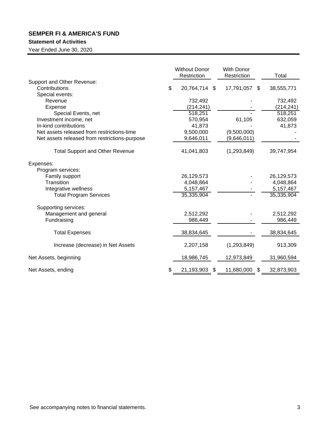# **Statement of Activities**

|                                               | <b>Without Donor</b><br>Restriction | <b>With Donor</b><br>Restriction | Total                 |
|-----------------------------------------------|-------------------------------------|----------------------------------|-----------------------|
| Support and Other Revenue:                    | \$                                  |                                  |                       |
| Contributions<br>Special events:              | 20,764,714 \$                       | 17,791,057 \$                    | 38,555,771            |
| Revenue                                       | 732,492                             |                                  | 732,492               |
|                                               | (214, 241)                          |                                  |                       |
| Expense<br>Special Events, net                | 518,251                             |                                  | (214, 241)<br>518,251 |
| Investment income, net                        | 570,954                             | 61,105                           | 632,059               |
| In-kind contributions                         | 41,873                              |                                  | 41,873                |
| Net assets released from restrictions-time    | 9,500,000                           | (9,500,000)                      |                       |
| Net assets released from restrictions-purpose | 9,646,011                           | (9,646,011)                      |                       |
|                                               |                                     |                                  |                       |
| <b>Total Support and Other Revenue</b>        | 41,041,803                          | (1,293,849)                      | 39,747,954            |
| Expenses:                                     |                                     |                                  |                       |
| Program services:                             |                                     |                                  |                       |
| Family support                                | 26,129,573                          |                                  | 26,129,573            |
| Transition                                    | 4,048,864                           |                                  | 4,048,864             |
| Integrative wellness                          | 5,157,467                           |                                  | 5,157,467             |
| <b>Total Program Services</b>                 | 35,335,904                          |                                  | 35,335,904            |
| Supporting services:                          |                                     |                                  |                       |
| Management and general                        | 2,512,292                           |                                  | 2,512,292             |
| Fundraising                                   | 986,449                             |                                  | 986,449               |
| <b>Total Expenses</b>                         | 38,834,645                          |                                  | 38,834,645            |
| Increase (decrease) in Net Assets             | 2,207,158                           | (1,293,849)                      | 913,309               |
| Net Assets, beginning                         | 18,986,745                          | 12,973,849                       | 31,960,594            |
| Net Assets, ending                            | 21,193,903<br>- \$                  | 11,680,000<br>-S                 | 32,873,903            |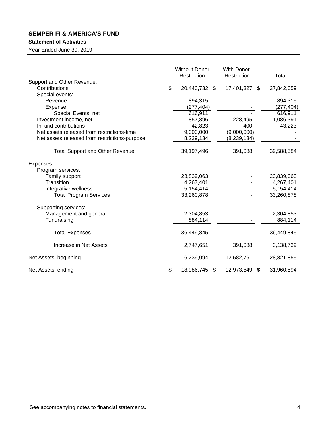# **Statement of Activities**

|                                                 | <b>Without Donor</b><br>Restriction | <b>With Donor</b><br>Restriction |    | Total                |
|-------------------------------------------------|-------------------------------------|----------------------------------|----|----------------------|
| Support and Other Revenue:                      |                                     |                                  |    |                      |
| Contributions                                   | \$<br>20,440,732 \$                 | 17,401,327 \$                    |    | 37,842,059           |
| Special events:<br>Revenue                      |                                     |                                  |    |                      |
|                                                 | 894,315                             |                                  |    | 894,315              |
| Expense                                         | (277, 404)                          |                                  |    | (277, 404)           |
| Special Events, net                             | 616,911<br>857,896                  | 228,495                          |    | 616,911<br>1,086,391 |
| Investment income, net<br>In-kind contributions | 42,823                              | 400                              |    | 43,223               |
| Net assets released from restrictions-time      | 9,000,000                           | (9,000,000)                      |    |                      |
| Net assets released from restrictions-purpose   | 8,239,134                           | (8, 239, 134)                    |    |                      |
|                                                 |                                     |                                  |    |                      |
| <b>Total Support and Other Revenue</b>          | 39,197,496                          | 391,088                          |    | 39,588,584           |
| Expenses:                                       |                                     |                                  |    |                      |
| Program services:                               |                                     |                                  |    |                      |
| Family support                                  | 23,839,063                          |                                  |    | 23,839,063           |
| Transition                                      | 4,267,401                           |                                  |    | 4,267,401            |
| Integrative wellness                            | 5,154,414                           |                                  |    | 5,154,414            |
| <b>Total Program Services</b>                   | 33,260,878                          |                                  |    | 33,260,878           |
| Supporting services:                            |                                     |                                  |    |                      |
| Management and general                          | 2,304,853                           |                                  |    | 2,304,853            |
| Fundraising                                     | 884,114                             |                                  |    | 884,114              |
| <b>Total Expenses</b>                           | 36,449,845                          |                                  |    | 36,449,845           |
| Increase in Net Assets                          |                                     |                                  |    |                      |
|                                                 | 2,747,651                           | 391,088                          |    | 3,138,739            |
| Net Assets, beginning                           | 16,239,094                          | 12,582,761                       |    | 28,821,855           |
| Net Assets, ending                              | 18,986,745<br>- \$                  | 12,973,849                       | -S | 31,960,594           |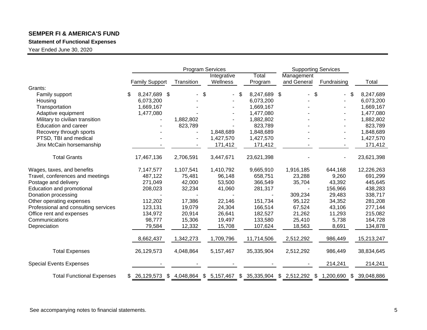# **Statement of Functional Expenses**

|                                      |                                    | Program Services         | <b>Supporting Services</b> |                                      |             |                 |            |
|--------------------------------------|------------------------------------|--------------------------|----------------------------|--------------------------------------|-------------|-----------------|------------|
|                                      |                                    |                          |                            | Total<br>Integrative                 |             |                 |            |
|                                      | <b>Family Support</b>              | Transition               | Wellness                   | Program                              | and General | Fundraising     | Total      |
| Grants:                              |                                    |                          |                            |                                      |             |                 |            |
| Family support                       | 8,247,689 \$<br>\$                 | $\overline{\phantom{0}}$ | \$                         | \$<br>8,247,689 \$                   |             | \$<br>\$        | 8,247,689  |
| Housing                              | 6,073,200                          |                          |                            | 6,073,200                            |             |                 | 6,073,200  |
| Transportation                       | 1,669,167                          |                          |                            | 1,669,167                            |             |                 | 1,669,167  |
| Adaptive equipment                   | 1,477,080                          |                          |                            | 1,477,080                            |             |                 | 1,477,080  |
| Military to civilian transition      |                                    | 1,882,802                |                            | 1,882,802                            |             |                 | 1,882,802  |
| <b>Education and career</b>          |                                    | 823,789                  |                            | 823,789                              |             |                 | 823,789    |
| Recovery through sports              |                                    |                          | 1,848,689                  | 1,848,689                            |             |                 | 1,848,689  |
| PTSD, TBI and medical                |                                    |                          | 1,427,570                  | 1,427,570                            |             |                 | 1,427,570  |
| Jinx McCain horsemanship             |                                    |                          | 171,412                    | 171,412                              |             |                 | 171,412    |
| <b>Total Grants</b>                  | 17,467,136                         | 2,706,591                | 3,447,671                  | 23,621,398                           |             |                 | 23,621,398 |
| Wages, taxes, and benefits           | 7,147,577                          | 1,107,541                | 1,410,792                  | 9,665,910                            | 1,916,185   | 644,168         | 12,226,263 |
| Travel, conferences and meetings     | 487,122                            | 75,481                   | 96,148                     | 658,751                              | 23,288      | 9,260           | 691,299    |
| Postage and delivery                 | 271,049                            | 42,000                   | 53,500                     | 366,549                              | 35,704      | 43,392          | 445,645    |
| Education and promotional            | 208,023                            | 32,234                   | 41,060                     | 281,317                              |             | 156,966         | 438,283    |
| Donation processing                  |                                    |                          |                            |                                      | 309,234     | 29,483          | 338,717    |
| Other operating expenses             | 112,202                            | 17,386                   | 22,146                     | 151,734                              | 95,122      | 34,352          | 281,208    |
| Professional and consulting services | 123,131                            | 19,079                   | 24,304                     | 166,514                              | 67,524      | 43,106          | 277,144    |
| Office rent and expenses             | 134,972                            | 20,914                   | 26,641                     | 182,527                              | 21,262      | 11,293          | 215,082    |
| Communications                       | 98,777                             | 15,306                   | 19,497                     | 133,580                              | 25,410      | 5,738           | 164,728    |
| Depreciation                         | 79,584                             | 12,332                   | 15,708                     | 107,624                              | 18,563      | 8,691           | 134,878    |
|                                      | 8,662,437                          | 1,342,273                | 1,709,796                  | 11,714,506                           | 2,512,292   | 986,449         | 15,213,247 |
| <b>Total Expenses</b>                | 26,129,573                         | 4,048,864                | 5, 157, 467                | 35,335,904                           | 2,512,292   | 986,449         | 38,834,645 |
| <b>Special Events Expenses</b>       |                                    |                          |                            |                                      |             | 214,241         | 214,241    |
| <b>Total Functional Expenses</b>     | $\mathfrak{S}$<br>\$<br>26,129,573 | 4,048,864                | \$                         | 5,157,467 \$ 35,335,904 \$ 2,512,292 | \$          | 1,200,690<br>\$ | 39,048,886 |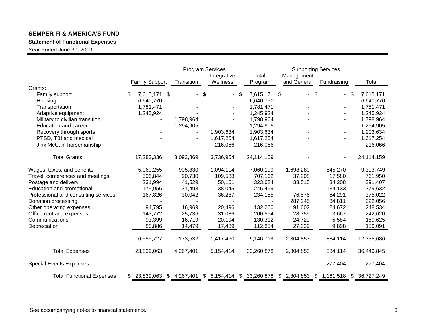# **Statement of Functional Expenses**

|                                      |                        | <b>Program Services</b> | <b>Supporting Services</b> |                         |                   |                 |            |
|--------------------------------------|------------------------|-------------------------|----------------------------|-------------------------|-------------------|-----------------|------------|
|                                      |                        |                         | Total<br>Integrative       |                         | Management        |                 |            |
|                                      | <b>Family Support</b>  | Transition              | Wellness                   | Program                 | and General       | Fundraising     | Total      |
| Grants:                              |                        |                         |                            |                         |                   |                 |            |
| Family support                       | 7,615,171 \$<br>\$     |                         | \$                         | 7,615,171 \$<br>\$      | \$                | \$              | 7,615,171  |
| Housing                              | 6,640,770              |                         |                            | 6,640,770               |                   |                 | 6,640,770  |
| Transportation                       | 1,781,471              |                         |                            | 1,781,471               |                   |                 | 1,781,471  |
| Adaptive equipment                   | 1,245,924              |                         |                            | 1,245,924               |                   |                 | 1,245,924  |
| Military to civilian transition      |                        | 1,798,964               |                            | 1,798,964               |                   |                 | 1,798,964  |
| <b>Education and career</b>          |                        | 1,294,905               |                            | 1,294,905               |                   |                 | 1,294,905  |
| Recovery through sports              |                        |                         | 1,903,634                  | 1,903,634               |                   |                 | 1,903,634  |
| PTSD, TBI and medical                |                        |                         | 1,617,254                  | 1,617,254               |                   |                 | 1,617,254  |
| Jinx McCain horsemanship             |                        |                         | 216,066                    | 216,066                 |                   |                 | 216,066    |
| <b>Total Grants</b>                  | 17,283,336             | 3,093,869               | 3,736,954                  | 24,114,159              |                   |                 | 24,114,159 |
| Wages, taxes, and benefits           | 5,060,255              | 905,830                 | 1,094,114                  | 7,060,199               | 1,698,280         | 545,270         | 9,303,749  |
| Travel, conferences and meetings     | 506,844                | 90,730                  | 109,588                    | 707,162                 | 37,208            | 17,580          | 761,950    |
| Postage and delivery                 | 231,994                | 41,529                  | 50,161                     | 323,684                 | 33,515            | 34,208          | 391,407    |
| Education and promotional            | 175,956                | 31,498                  | 38,045                     | 245,499                 |                   | 134,133         | 379,632    |
| Professional and consulting services | 167,826                | 30,042                  | 36,287                     | 234,155                 | 76,576            | 64,291          | 375,022    |
| Donation processing                  |                        |                         |                            |                         | 287,245           | 34,811          | 322,056    |
| Other operating expenses             | 94,795                 | 16,969                  | 20,496                     | 132,260                 | 91,602            | 24,672          | 248,534    |
| Office rent and expenses             | 143,772                | 25,736                  | 31,086                     | 200,594                 | 28,359            | 13,667          | 242,620    |
| Communications                       | 93,399                 | 16,719                  | 20,194                     | 130,312                 | 24,729            | 5,584           | 160,625    |
| Depreciation                         | 80,886                 | 14,479                  | 17,489                     | 112,854                 | 27,339            | 9,898           | 150,091    |
|                                      | 6,555,727              | 1,173,532               | 1,417,460                  | 9,146,719               | 2,304,853         | 884,114         | 12,335,686 |
| <b>Total Expenses</b>                | 23,839,063             | 4,267,401               | 5,154,414                  | 33,260,878              | 2,304,853         | 884,114         | 36,449,845 |
| <b>Special Events Expenses</b>       |                        |                         |                            |                         |                   | 277,404         | 277,404    |
| <b>Total Functional Expenses</b>     | 23,839,063<br>\$<br>\$ | 4,267,401               | \$                         | 5,154,414 \$ 33,260,878 | \$2,304,853<br>\$ | 1,161,518<br>\$ | 36,727,249 |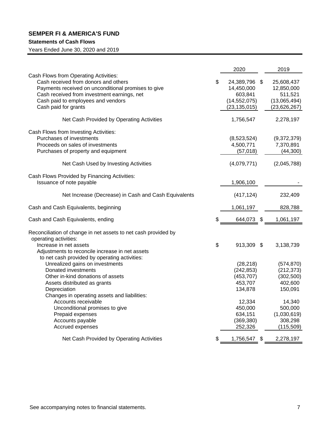# **Statements of Cash Flows**

Years Ended June 30, 2020 and 2019

|                                                                                                                                                                                                                                                   | 2020                                                                             | 2019                                                                  |
|---------------------------------------------------------------------------------------------------------------------------------------------------------------------------------------------------------------------------------------------------|----------------------------------------------------------------------------------|-----------------------------------------------------------------------|
| Cash Flows from Operating Activities:<br>Cash received from donors and others<br>Payments received on unconditional promises to give<br>Cash received from investment earnings, net<br>Cash paid to employees and vendors<br>Cash paid for grants | \$<br>24,389,796 \$<br>14,450,000<br>603,841<br>(14, 552, 075)<br>(23, 135, 015) | 25,608,437<br>12,850,000<br>511,521<br>(13,065,494)<br>(23, 626, 267) |
| Net Cash Provided by Operating Activities                                                                                                                                                                                                         | 1,756,547                                                                        | 2,278,197                                                             |
| Cash Flows from Investing Activities:<br>Purchases of investments<br>Proceeds on sales of investments<br>Purchases of property and equipment                                                                                                      | (8,523,524)<br>4,500,771<br>(57,018)                                             | (9,372,379)<br>7,370,891<br>(44, 300)                                 |
| Net Cash Used by Investing Activities                                                                                                                                                                                                             | (4,079,771)                                                                      | (2,045,788)                                                           |
| Cash Flows Provided by Financing Activities:<br>Issuance of note payable                                                                                                                                                                          | 1,906,100                                                                        |                                                                       |
| Net Increase (Decrease) in Cash and Cash Equivalents                                                                                                                                                                                              | (417, 124)                                                                       | 232,409                                                               |
| Cash and Cash Equivalents, beginning                                                                                                                                                                                                              | 1,061,197                                                                        | 828,788                                                               |
| Cash and Cash Equivalents, ending                                                                                                                                                                                                                 | \$<br>644,073<br>$\boldsymbol{\theta}$                                           | 1,061,197                                                             |
| Reconciliation of change in net assets to net cash provided by<br>operating activities:<br>Increase in net assets<br>Adjustments to reconcile increase in net assets<br>to net cash provided by operating activities:                             | \$<br>913,309 \$                                                                 | 3,138,739                                                             |
| Unrealized gains on investments<br>Donated investments<br>Other in-kind donations of assets<br>Assets distributed as grants<br>Depreciation<br>Changes in operating assets and liabilities:                                                       | (28, 218)<br>(242, 853)<br>(453, 707)<br>453,707<br>134,878                      | (574, 870)<br>(212, 373)<br>(302, 500)<br>402,600<br>150,091          |
| Accounts receivable<br>Unconditional promises to give<br>Prepaid expenses<br>Accounts payable<br>Accrued expenses                                                                                                                                 | 12,334<br>450,000<br>634,151<br>(369, 380)<br>252,326                            | 14,340<br>500,000<br>(1,030,619)<br>308,298<br>(115,509)              |
| Net Cash Provided by Operating Activities                                                                                                                                                                                                         | \$<br>1,756,547<br>\$                                                            | 2,278,197                                                             |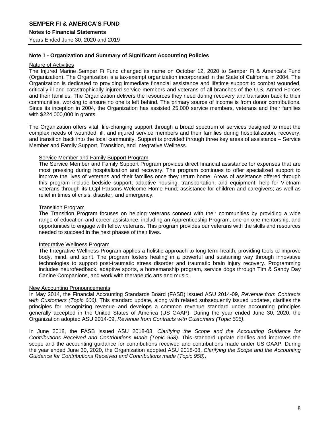Years Ended June 30, 2020 and 2019

# **Note 1 - Organization and Summary of Significant Accounting Policies**

#### Nature of Activities

The Injured Marine Semper Fi Fund changed its name on October 12, 2020 to Semper Fi & America's Fund (Organization). The Organization is a tax-exempt organization incorporated in the State of California in 2004. The Organization is dedicated to providing immediate financial assistance and lifetime support to combat wounded, critically ill and catastrophically injured service members and veterans of all branches of the U.S. Armed Forces and their families. The Organization delivers the resources they need during recovery and transition back to their communities, working to ensure no one is left behind. The primary source of income is from donor contributions. Since its inception in 2004, the Organization has assisted 25,000 service members, veterans and their families with \$224,000,000 in grants.

The Organization offers vital, life-changing support through a broad spectrum of services designed to meet the complex needs of wounded, ill, and injured service members and their families during hospitalization, recovery, and transition back into the local community. Support is provided through three key areas of assistance – Service Member and Family Support, Transition, and Integrative Wellness.

#### Service Member and Family Support Program

The Service Member and Family Support Program provides direct financial assistance for expenses that are most pressing during hospitalization and recovery. The program continues to offer specialized support to improve the lives of veterans and their families once they return home. Areas of assistance offered through this program include bedside support; adaptive housing, transportation, and equipment; help for Vietnam veterans through its LCpl Parsons Welcome Home Fund; assistance for children and caregivers; as well as relief in times of crisis, disaster, and emergency.

#### Transition Program

The Transition Program focuses on helping veterans connect with their communities by providing a wide range of education and career assistance, including an Apprenticeship Program, one-on-one mentorship, and opportunities to engage with fellow veterans. This program provides our veterans with the skills and resources needed to succeed in the next phases of their lives.

#### Integrative Wellness Program

The Integrative Wellness Program applies a holistic approach to long-term health, providing tools to improve body, mind, and spirit. The program fosters healing in a powerful and sustaining way through innovative technologies to support post-traumatic stress disorder and traumatic brain injury recovery. Programming includes neurofeedback, adaptive sports, a horsemanship program, service dogs through Tim & Sandy Day Canine Companions, and work with therapeutic arts and music.

#### New Accounting Pronouncements

In May 2014, the Financial Accounting Standards Board (FASB) issued ASU 2014-09, *Revenue from Contracts with Customers (Topic 606)*. This standard update, along with related subsequently issued updates, clarifies the principles for recognizing revenue and develops a common revenue standard under accounting principles generally accepted in the United States of America (US GAAP). During the year ended June 30, 2020, the Organization adopted ASU 2014-09, *Revenue from Contracts with Customers (Topic 606)*.

In June 2018, the FASB issued ASU 2018-08, *Clarifying the Scope and the Accounting Guidance for Contributions Received and Contributions Made (Topic 958)*. This standard update clarifies and improves the scope and the accounting guidance for contributions received and contributions made under US GAAP. During the year ended June 30, 2020, the Organization adopted ASU 2018-08, *Clarifying the Scope and the Accounting Guidance for Contributions Received and Contributions made (Topic 958)*.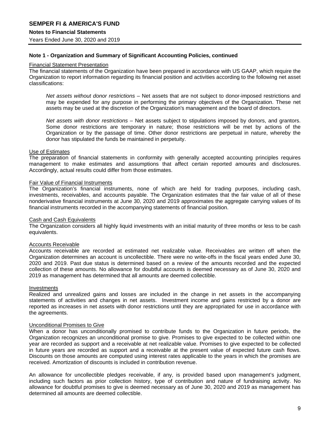### **Note 1 - Organization and Summary of Significant Accounting Policies, continued**

#### Financial Statement Presentation

The financial statements of the Organization have been prepared in accordance with US GAAP, which require the Organization to report information regarding its financial position and activities according to the following net asset classifications:

*Net assets without donor restrictions* – Net assets that are not subject to donor-imposed restrictions and may be expended for any purpose in performing the primary objectives of the Organization. These net assets may be used at the discretion of the Organization's management and the board of directors.

*Net assets with donor restrictions* – Net assets subject to stipulations imposed by donors, and grantors. Some donor restrictions are temporary in nature; those restrictions will be met by actions of the Organization or by the passage of time. Other donor restrictions are perpetual in nature, whereby the donor has stipulated the funds be maintained in perpetuity.

#### Use of Estimates

The preparation of financial statements in conformity with generally accepted accounting principles requires management to make estimates and assumptions that affect certain reported amounts and disclosures. Accordingly, actual results could differ from those estimates.

#### Fair Value of Financial Instruments

The Organization's financial instruments, none of which are held for trading purposes, including cash, investments, receivables, and accounts payable. The Organization estimates that the fair value of all of these nonderivative financial instruments at June 30, 2020 and 2019 approximates the aggregate carrying values of its financial instruments recorded in the accompanying statements of financial position.

#### Cash and Cash Equivalents

The Organization considers all highly liquid investments with an initial maturity of three months or less to be cash equivalents.

#### Accounts Receivable

Accounts receivable are recorded at estimated net realizable value. Receivables are written off when the Organization determines an account is uncollectible. There were no write-offs in the fiscal years ended June 30, 2020 and 2019. Past due status is determined based on a review of the amounts recorded and the expected collection of these amounts. No allowance for doubtful accounts is deemed necessary as of June 30, 2020 and 2019 as management has determined that all amounts are deemed collectible.

#### Investments

Realized and unrealized gains and losses are included in the change in net assets in the accompanying statements of activities and changes in net assets. Investment income and gains restricted by a donor are reported as increases in net assets with donor restrictions until they are appropriated for use in accordance with the agreements.

#### Unconditional Promises to Give

When a donor has unconditionally promised to contribute funds to the Organization in future periods, the Organization recognizes an unconditional promise to give. Promises to give expected to be collected within one year are recorded as support and a receivable at net realizable value. Promises to give expected to be collected in future years are recorded as support and a receivable at the present value of expected future cash flows. Discounts on those amounts are computed using interest rates applicable to the years in which the promises are received. Amortization of discounts is included in contribution revenue.

An allowance for uncollectible pledges receivable, if any, is provided based upon management's judgment, including such factors as prior collection history, type of contribution and nature of fundraising activity. No allowance for doubtful promises to give is deemed necessary as of June 30, 2020 and 2019 as management has determined all amounts are deemed collectible.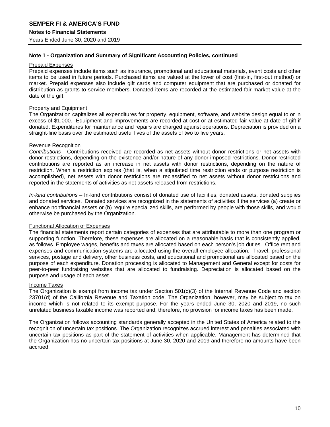#### **Notes to Financial Statements**

Years Ended June 30, 2020 and 2019

## **Note 1 - Organization and Summary of Significant Accounting Policies, continued**

#### Prepaid Expenses

Prepaid expenses include items such as insurance, promotional and educational materials, event costs and other items to be used in future periods. Purchased items are valued at the lower of cost (first-in, first-out method) or market. Prepaid expenses also include gift cards and computer equipment that are purchased or donated for distribution as grants to service members. Donated items are recorded at the estimated fair market value at the date of the gift.

#### Property and Equipment

The Organization capitalizes all expenditures for property, equipment, software, and website design equal to or in excess of \$1,000. Equipment and improvements are recorded at cost or at estimated fair value at date of gift if donated. Expenditures for maintenance and repairs are charged against operations. Depreciation is provided on a straight-line basis over the estimated useful lives of the assets of two to five years.

## Revenue Recognition

*Contributions -* Contributions received are recorded as net assets without donor restrictions or net assets with donor restrictions, depending on the existence and/or nature of any donor-imposed restrictions. Donor restricted contributions are reported as an increase in net assets with donor restrictions, depending on the nature of restriction. When a restriction expires (that is, when a stipulated time restriction ends or purpose restriction is accomplished), net assets with donor restrictions are reclassified to net assets without donor restrictions and reported in the statements of activities as net assets released from restrictions.

*In-kind contributions* – In-kind contributions consist of donated use of facilities, donated assets, donated supplies and donated services. Donated services are recognized in the statements of activities if the services (a) create or enhance nonfinancial assets or (b) require specialized skills, are performed by people with those skills, and would otherwise be purchased by the Organization.

#### Functional Allocation of Expenses

The financial statements report certain categories of expenses that are attributable to more than one program or supporting function. Therefore, these expenses are allocated on a reasonable basis that is consistently applied, as follows. Employee wages, benefits and taxes are allocated based on each person's job duties. Office rent and expenses and communication systems are allocated using the overall employee allocation. Travel, professional services, postage and delivery, other business costs, and educational and promotional are allocated based on the purpose of each expenditure. Donation processing is allocated to Management and General except for costs for peer-to-peer fundraising websites that are allocated to fundraising. Depreciation is allocated based on the purpose and usage of each asset.

#### Income Taxes

The Organization is exempt from income tax under Section 501(c)(3) of the Internal Revenue Code and section 23701(d) of the California Revenue and Taxation code. The Organization, however, may be subject to tax on income which is not related to its exempt purpose. For the years ended June 30, 2020 and 2019, no such unrelated business taxable income was reported and, therefore, no provision for income taxes has been made.

The Organization follows accounting standards generally accepted in the United States of America related to the recognition of uncertain tax positions. The Organization recognizes accrued interest and penalties associated with uncertain tax positions as part of the statement of activities when applicable. Management has determined that the Organization has no uncertain tax positions at June 30, 2020 and 2019 and therefore no amounts have been accrued.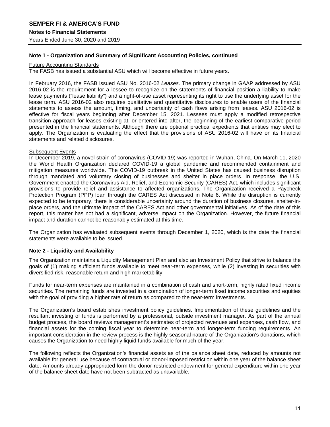Years Ended June 30, 2020 and 2019

## **Note 1 - Organization and Summary of Significant Accounting Policies, continued**

#### Future Accounting Standards

The FASB has issued a substantial ASU which will become effective in future years.

In February 2016, the FASB issued ASU No. 2016-02 *Leases*. The primary change in GAAP addressed by ASU 2016-02 is the requirement for a lessee to recognize on the statements of financial position a liability to make lease payments ("lease liability") and a right-of-use asset representing its right to use the underlying asset for the lease term. ASU 2016-02 also requires qualitative and quantitative disclosures to enable users of the financial statements to assess the amount, timing, and uncertainty of cash flows arising from leases. ASU 2016-02 is effective for fiscal years beginning after December 15, 2021. Lessees must apply a modified retrospective transition approach for leases existing at, or entered into after, the beginning of the earliest comparative period presented in the financial statements. Although there are optional practical expedients that entities may elect to apply. The Organization is evaluating the effect that the provisions of ASU 2016-02 will have on its financial statements and related disclosures.

## Subsequent Events

In December 2019, a novel strain of coronavirus (COVID-19) was reported in Wuhan, China. On March 11, 2020 the World Health Organization declared COVID-19 a global pandemic and recommended containment and mitigation measures worldwide. The COVID-19 outbreak in the United States has caused business disruption through mandated and voluntary closing of businesses and shelter in place orders. In response, the U.S. Government enacted the Coronavirus Aid, Relief, and Economic Security (CARES) Act, which includes significant provisions to provide relief and assistance to affected organizations. The Organization received a Paycheck Protection Program (PPP) loan through the CARES Act discussed in Note 6. While the disruption is currently expected to be temporary, there is considerable uncertainty around the duration of business closures, shelter-inplace orders, and the ultimate impact of the CARES Act and other governmental initiatives. As of the date of this report, this matter has not had a significant, adverse impact on the Organization. However, the future financial impact and duration cannot be reasonably estimated at this time.

The Organization has evaluated subsequent events through December 1, 2020, which is the date the financial statements were available to be issued.

# **Note 2 - Liquidity and Availability**

The Organization maintains a Liquidity Management Plan and also an Investment Policy that strive to balance the goals of (1) making sufficient funds available to meet near-term expenses, while (2) investing in securities with diversified risk, reasonable return and high marketability.

Funds for near-term expenses are maintained in a combination of cash and short-term, highly rated fixed income securities. The remaining funds are invested in a combination of longer-term fixed income securities and equities with the goal of providing a higher rate of return as compared to the near-term investments.

The Organization's board establishes investment policy guidelines. Implementation of these guidelines and the resultant investing of funds is performed by a professional, outside investment manager. As part of the annual budget process, the board reviews management's estimates of projected revenues and expenses, cash flow, and financial assets for the coming fiscal year to determine near-term and longer-term funding requirements. An important consideration in the review process is the highly seasonal nature of the Organization's donations, which causes the Organization to need highly liquid funds available for much of the year.

The following reflects the Organization's financial assets as of the balance sheet date, reduced by amounts not available for general use because of contractual or donor-imposed restriction within one year of the balance sheet date. Amounts already appropriated form the donor-restricted endowment for general expenditure within one year of the balance sheet date have not been subtracted as unavailable.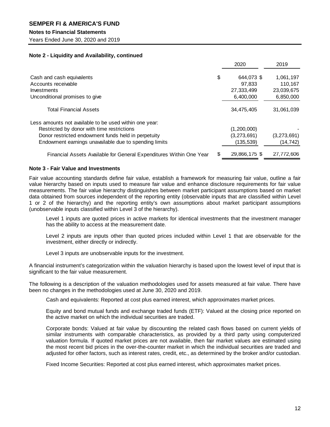### **Notes to Financial Statements**

Years Ended June 30, 2020 and 2019

# **Note 2 - Liquidity and Availability, continued**

|                                                                     | 2020                | 2019        |
|---------------------------------------------------------------------|---------------------|-------------|
| Cash and cash equivalents                                           | \$<br>644,073 \$    | 1,061,197   |
| Accounts receivable                                                 | 97,833              | 110,167     |
| Investments                                                         | 27,333,499          | 23,039,675  |
| Unconditional promises to give                                      | 6,400,000           | 6,850,000   |
| <b>Total Financial Assets</b>                                       | 34,475,405          | 31.061.039  |
| Less amounts not available to be used within one year:              |                     |             |
| Restricted by donor with time restrictions                          | (1,200,000)         |             |
| Donor restricted endowment funds held in perpetuity                 | (3,273,691)         | (3,273,691) |
| Endowment earnings unavailable due to spending limits               | (135, 539)          | (14, 742)   |
| Financial Assets Available for General Expenditures Within One Year | \$<br>29,866,175 \$ | 27,772,606  |

## **Note 3 - Fair Value and Investments**

Fair value accounting standards define fair value, establish a framework for measuring fair value, outline a fair value hierarchy based on inputs used to measure fair value and enhance disclosure requirements for fair value measurements. The fair value hierarchy distinguishes between market participant assumptions based on market data obtained from sources independent of the reporting entity (observable inputs that are classified within Level 1 or 2 of the hierarchy) and the reporting entity's own assumptions about market participant assumptions (unobservable inputs classified within Level 3 of the hierarchy).

Level 1 inputs are quoted prices in active markets for identical investments that the investment manager has the ability to access at the measurement date.

Level 2 inputs are inputs other than quoted prices included within Level 1 that are observable for the investment, either directly or indirectly.

Level 3 inputs are unobservable inputs for the investment.

A financial instrument's categorization within the valuation hierarchy is based upon the lowest level of input that is significant to the fair value measurement.

The following is a description of the valuation methodologies used for assets measured at fair value. There have been no changes in the methodologies used at June 30, 2020 and 2019.

Cash and equivalents: Reported at cost plus earned interest, which approximates market prices.

Equity and bond mutual funds and exchange traded funds (ETF): Valued at the closing price reported on the active market on which the individual securities are traded.

Corporate bonds: Valued at fair value by discounting the related cash flows based on current yields of similar instruments with comparable characteristics, as provided by a third party using computerized valuation formula. If quoted market prices are not available, then fair market values are estimated using the most recent bid prices in the over-the-counter market in which the individual securities are traded and adjusted for other factors, such as interest rates, credit, etc., as determined by the broker and/or custodian.

Fixed Income Securities: Reported at cost plus earned interest, which approximates market prices.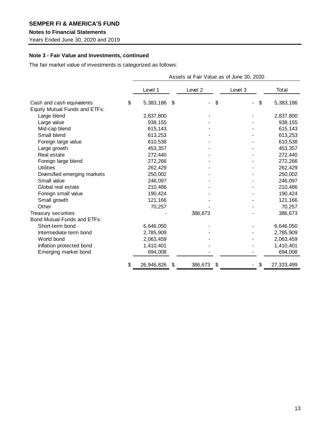#### **Notes to Financial Statements**

Years Ended June 30, 2020 and 2019

# **Note 3 - Fair Value and Investments, continued**

The fair market value of investments is categorized as follows:

|                               | Assets at Fair Value as of June 30, 2020 |            |    |               |         |            |
|-------------------------------|------------------------------------------|------------|----|---------------|---------|------------|
|                               |                                          | Level 1    |    | Level 2       | Level 3 | Total      |
| Cash and cash equivalents     | \$                                       | 5,383,186  | \$ | \$            | \$      | 5,383,186  |
| Equity Mutual Funds and ETFs: |                                          |            |    |               |         |            |
| Large blend                   |                                          | 2,837,800  |    |               |         | 2,837,800  |
| Large value                   |                                          | 938,155    |    |               |         | 938,155    |
| Mid-cap blend                 |                                          | 615,143    |    |               |         | 615,143    |
| Small blend                   |                                          | 613,253    |    |               |         | 613,253    |
| Foreign large value           |                                          | 610,538    |    |               |         | 610,538    |
| Large growth                  |                                          | 453,357    |    |               |         | 453,357    |
| Real estate                   |                                          | 272,440    |    |               |         | 272,440    |
| Foreign large blend           |                                          | 272,266    |    |               |         | 272,266    |
| <b>Utilities</b>              |                                          | 262,429    |    |               |         | 262,429    |
| Diversified emerging markets  |                                          | 250,002    |    |               |         | 250,002    |
| Small value                   |                                          | 246,097    |    |               |         | 246,097    |
| Global real estate            |                                          | 210,486    |    |               |         | 210,486    |
| Foreign small value           |                                          | 190,424    |    |               |         | 190,424    |
| Small growth                  |                                          | 121,166    |    |               |         | 121,166    |
| Other                         |                                          | 70,257     |    |               |         | 70,257     |
| Treasury securities           |                                          |            |    | 386,673       |         | 386,673    |
| Bond Mutual Funds and ETFs:   |                                          |            |    |               |         |            |
| Short-term bond               |                                          | 6,646,050  |    |               |         | 6,646,050  |
| Intermediate term bond        |                                          | 2,785,909  |    |               |         | 2,785,909  |
| World bond                    |                                          | 2,063,459  |    |               |         | 2,063,459  |
| Inflation protected bond      |                                          | 1,410,401  |    |               |         | 1,410,401  |
| Emerging market bond          |                                          | 694,008    |    |               |         | 694,008    |
|                               | \$                                       | 26,946,826 | \$ | 386,673<br>\$ | \$      | 27,333,499 |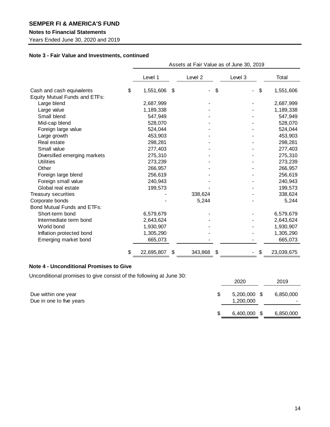## **Notes to Financial Statements**

Years Ended June 30, 2020 and 2019

|  |  |  |  | Note 3 - Fair Value and Investments, continued |  |
|--|--|--|--|------------------------------------------------|--|
|--|--|--|--|------------------------------------------------|--|

|                                 | Assets at Fair Value as of June 30, 2019 |    |         |    |         |            |
|---------------------------------|------------------------------------------|----|---------|----|---------|------------|
|                                 | Level 1                                  |    | Level 2 |    | Level 3 | Total      |
| \$<br>Cash and cash equivalents | 1,551,606                                | \$ |         | \$ | \$      | 1,551,606  |
| Equity Mutual Funds and ETFs:   |                                          |    |         |    |         |            |
| Large blend                     | 2,687,999                                |    |         |    |         | 2,687,999  |
| Large value                     | 1,189,338                                |    |         |    |         | 1,189,338  |
| Small blend                     | 547,949                                  |    |         |    |         | 547,949    |
| Mid-cap blend                   | 528,070                                  |    |         |    |         | 528,070    |
| Foreign large value             | 524,044                                  |    |         |    |         | 524,044    |
| Large growth                    | 453,903                                  |    |         |    |         | 453,903    |
| Real estate                     | 298,281                                  |    |         |    |         | 298,281    |
| Small value                     | 277,403                                  |    |         |    |         | 277,403    |
| Diversified emerging markets    | 275,310                                  |    |         |    |         | 275,310    |
| <b>Utilities</b>                | 273,239                                  |    |         |    |         | 273,239    |
| Other                           | 266,957                                  |    |         |    |         | 266,957    |
| Foreign large blend             | 256,619                                  |    |         |    |         | 256,619    |
| Foreign small value             | 240,943                                  |    |         |    |         | 240,943    |
| Global real estate              | 199,573                                  |    |         |    |         | 199,573    |
| Treasury securities             |                                          |    | 338,624 |    |         | 338,624    |
| Corporate bonds                 |                                          |    | 5,244   |    |         | 5,244      |
| Bond Mutual Funds and ETFs:     |                                          |    |         |    |         |            |
| Short-term bond                 | 6,579,679                                |    |         |    |         | 6,579,679  |
| Intermediate term bond          | 2,643,624                                |    |         |    |         | 2,643,624  |
| World bond                      | 1,930,907                                |    |         |    |         | 1,930,907  |
| Inflation protected bond        | 1,305,290                                |    |         |    |         | 1,305,290  |
| Emerging market bond            | 665,073                                  |    |         |    |         | 665,073    |
| \$                              | 22,695,807                               | \$ | 343,868 | \$ | \$.     | 23,039,675 |

#### **Note 4 - Unconditional Promises to Give**

Unconditional promises to give consist of the following at June 30:

|                                                 |    | 2020                        | 2019                                  |
|-------------------------------------------------|----|-----------------------------|---------------------------------------|
| Due within one year<br>Due in one to five years | \$ | $5,200,000$ \$<br>1,200,000 | 6,850,000<br>$\overline{\phantom{a}}$ |
|                                                 | \$ | 6,400,000 \$                | 6,850,000                             |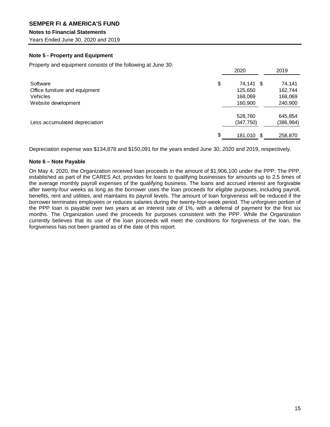## **Notes to Financial Statements**

Years Ended June 30, 2020 and 2019

# **Note 5 - Property and Equipment**

Property and equipment consists of the following at June 30:

| 2020             | 2019      |
|------------------|-----------|
| \$<br>74,141 \$  | 74,141    |
| 125,650          | 162,744   |
| 168,069          | 168,069   |
| 160,900          | 240,900   |
| 528,760          | 645,854   |
| (347,750)        | (386,984) |
| \$<br>181,010 \$ | 258,870   |
|                  |           |

Depreciation expense was \$134,878 and \$150,091 for the years ended June 30, 2020 and 2019, respectively.

# **Note 6 – Note Payable**

On May 4, 2020, the Organization received loan proceeds in the amount of \$1,906,100 under the PPP. The PPP, established as part of the CARES Act, provides for loans to qualifying businesses for amounts up to 2.5 times of the average monthly payroll expenses of the qualifying business. The loans and accrued interest are forgivable after twenty-four weeks as long as the borrower uses the loan proceeds for eligible purposes, including payroll, benefits, rent and utilities, and maintains its payroll levels. The amount of loan forgiveness will be reduced if the borrower terminates employees or reduces salaries during the twenty-four-week period. The unforgiven portion of the PPP loan is payable over two years at an interest rate of 1%, with a deferral of payment for the first six months. The Organization used the proceeds for purposes consistent with the PPP. While the Organization currently believes that its use of the loan proceeds will meet the conditions for forgiveness of the loan, the forgiveness has not been granted as of the date of this report.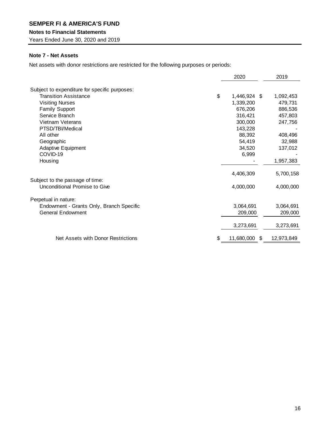## **Notes to Financial Statements**

Years Ended June 30, 2020 and 2019

# **Note 7 - Net Assets**

Net assets with donor restrictions are restricted for the following purposes or periods:

|                                               | 2020                | 2019       |
|-----------------------------------------------|---------------------|------------|
| Subject to expenditure for specific purposes: |                     |            |
| <b>Transition Assistance</b>                  | \$<br>1,446,924 \$  | 1,092,453  |
|                                               |                     |            |
| <b>Visiting Nurses</b>                        | 1,339,200           | 479,731    |
| <b>Family Support</b>                         | 676,206             | 886,536    |
| Service Branch                                | 316,421             | 457,803    |
| Vietnam Veterans                              | 300,000             | 247,756    |
| PTSD/TBI/Medical                              | 143,228             |            |
| All other                                     | 88,392              | 408,496    |
| Geographic                                    | 54,419              | 32,988     |
| Adaptive Equipment                            | 34,520              | 137,012    |
| COVID-19                                      | 6,999               |            |
| Housing                                       |                     | 1,957,383  |
|                                               | 4,406,309           | 5,700,158  |
| Subject to the passage of time:               |                     |            |
| Unconditional Promise to Give                 | 4,000,000           | 4,000,000  |
| Perpetual in nature:                          |                     |            |
| Endowment - Grants Only, Branch Specific      | 3,064,691           | 3,064,691  |
| <b>General Endowment</b>                      | 209,000             | 209,000    |
|                                               | 3,273,691           | 3,273,691  |
|                                               |                     |            |
| Net Assets with Donor Restrictions            | \$<br>11,680,000 \$ | 12,973,849 |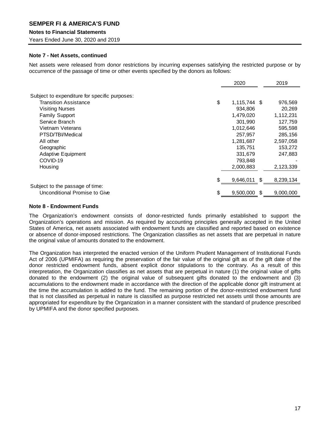## **Notes to Financial Statements**

Years Ended June 30, 2020 and 2019

# **Note 7 - Net Assets, continued**

Net assets were released from donor restrictions by incurring expenses satisfying the restricted purpose or by occurrence of the passage of time or other events specified by the donors as follows:

|                                               | 2020               | 2019      |
|-----------------------------------------------|--------------------|-----------|
| Subject to expenditure for specific purposes: |                    |           |
| <b>Transition Assistance</b>                  | \$<br>1,115,744 \$ | 976,569   |
| <b>Visiting Nurses</b>                        | 934,806            | 20,269    |
| <b>Family Support</b>                         | 1,479,020          | 1,112,231 |
| Service Branch                                | 301,990            | 127,759   |
| Vietnam Veterans                              | 1,012,646          | 595,598   |
| PTSD/TBI/Medical                              | 257,957            | 285,156   |
| All other                                     | 1,281,687          | 2,597,058 |
| Geographic                                    | 135.751            | 153,272   |
| <b>Adaptive Equipment</b>                     | 331,679            | 247,883   |
| COVID-19                                      | 793,848            |           |
| Housing                                       | 2,000,883          | 2,123,339 |
|                                               | \$<br>9,646,011 \$ | 8,239,134 |
| Subject to the passage of time:               |                    |           |
| Unconditional Promise to Give                 | \$<br>9,500,000 \$ | 9,000,000 |

## **Note 8 - Endowment Funds**

The Organization's endowment consists of donor-restricted funds primarily established to support the Organization's operations and mission. As required by accounting principles generally accepted in the United States of America, net assets associated with endowment funds are classified and reported based on existence or absence of donor-imposed restrictions. The Organization classifies as net assets that are perpetual in nature the original value of amounts donated to the endowment.

The Organization has interpreted the enacted version of the Uniform Prudent Management of Institutional Funds Act of 2006 (UPMIFA) as requiring the preservation of the fair value of the original gift as of the gift date of the donor restricted endowment funds, absent explicit donor stipulations to the contrary. As a result of this interpretation, the Organization classifies as net assets that are perpetual in nature (1) the original value of gifts donated to the endowment (2) the original value of subsequent gifts donated to the endowment and (3) accumulations to the endowment made in accordance with the direction of the applicable donor gift instrument at the time the accumulation is added to the fund. The remaining portion of the donor-restricted endowment fund that is not classified as perpetual in nature is classified as purpose restricted net assets until those amounts are appropriated for expenditure by the Organization in a manner consistent with the standard of prudence prescribed by UPMIFA and the donor specified purposes.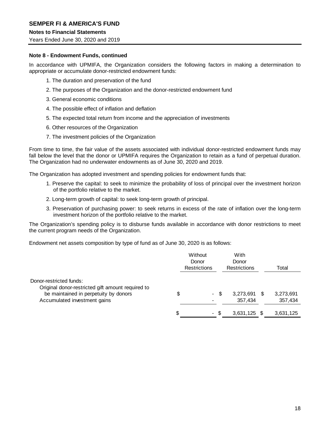#### **Notes to Financial Statements**

Years Ended June 30, 2020 and 2019

## **Note 8 - Endowment Funds, continued**

In accordance with UPMIFA, the Organization considers the following factors in making a determination to appropriate or accumulate donor-restricted endowment funds:

- 1. The duration and preservation of the fund
- 2. The purposes of the Organization and the donor-restricted endowment fund
- 3. General economic conditions
- 4. The possible effect of inflation and deflation
- 5. The expected total return from income and the appreciation of investments
- 6. Other resources of the Organization
- 7. The investment policies of the Organization

From time to time, the fair value of the assets associated with individual donor-restricted endowment funds may fall below the level that the donor or UPMIFA requires the Organization to retain as a fund of perpetual duration. The Organization had no underwater endowments as of June 30, 2020 and 2019.

The Organization has adopted investment and spending policies for endowment funds that:

- 1. Preserve the capital: to seek to minimize the probability of loss of principal over the investment horizon of the portfolio relative to the market.
- 2. Long-term growth of capital: to seek long-term growth of principal.
- 3. Preservation of purchasing power: to seek returns in excess of the rate of inflation over the long-term investment horizon of the portfolio relative to the market.

The Organization's spending policy is to disburse funds available in accordance with donor restrictions to meet the current program needs of the Organization.

Endowment net assets composition by type of fund as of June 30, 2020 is as follows:

|                                                                                                                                                       |   | Without<br>Donor<br><b>Restrictions</b> |      | With<br>Donor<br><b>Restrictions</b> |     | Total                |
|-------------------------------------------------------------------------------------------------------------------------------------------------------|---|-----------------------------------------|------|--------------------------------------|-----|----------------------|
| Donor-restricted funds:<br>Original donor-restricted gift amount required to<br>be maintained in perpetuity by donors<br>Accumulated investment gains | S | $\,$                                    | - \$ | 3,273,691<br>357.434                 | \$. | 3,273,691<br>357,434 |
|                                                                                                                                                       | S | $\blacksquare$                          | - \$ | $3,631,125$ \$                       |     | 3,631,125            |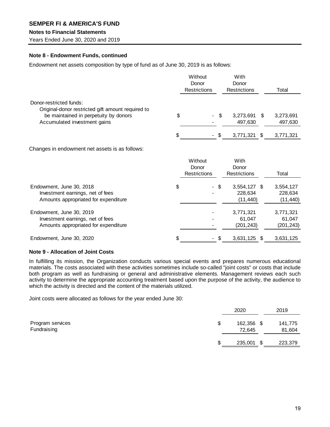## **Notes to Financial Statements**

Years Ended June 30, 2020 and 2019

# **Note 8 - Endowment Funds, continued**

Endowment net assets composition by type of fund as of June 30, 2019 is as follows:

|                                                                                                                            | Without<br>Donor<br><b>Restrictions</b> | With<br>Donor<br><b>Restrictions</b>       | Total                             |
|----------------------------------------------------------------------------------------------------------------------------|-----------------------------------------|--------------------------------------------|-----------------------------------|
| Donor-restricted funds:                                                                                                    |                                         |                                            |                                   |
| Original-donor restricted gift amount required to<br>be maintained in perpetuity by donors<br>Accumulated investment gains | \$                                      | \$<br>3,273,691<br>497,630                 | \$<br>3,273,691<br>497,630        |
|                                                                                                                            | \$                                      | \$<br>3,771,321                            | \$<br>3,771,321                   |
| Changes in endowment net assets is as follows:                                                                             |                                         |                                            |                                   |
|                                                                                                                            | Without<br>Donor<br>Restrictions        | With<br>Donor<br>Restrictions              | Total                             |
| Endowment, June 30, 2018<br>Investment earnings, net of fees<br>Amounts appropriated for expenditure                       | \$                                      | \$<br>3,554,127 \$<br>228,634<br>(11, 440) | 3,554,127<br>228,634<br>(11, 440) |
| Endowment, June 30, 2019<br>Investment earnings, net of fees<br>Amounts appropriated for expenditure                       |                                         | 3,771,321<br>61,047<br>(201, 243)          | 3,771,321<br>61,047<br>(201, 243) |
| Endowment, June 30, 2020                                                                                                   | \$                                      | \$<br>3,631,125 \$                         | 3,631,125                         |

#### **Note 9 - Allocation of Joint Costs**

In fulfilling its mission, the Organization conducts various special events and prepares numerous educational materials. The costs associated with these activities sometimes include so-called "joint costs" or costs that include both program as well as fundraising or general and administrative elements. Management reviews each such activity to determine the appropriate accounting treatment based upon the purpose of the activity, the audience to which the activity is directed and the content of the materials utilized.

Joint costs were allocated as follows for the year ended June 30:

|                                 | 2020                       | 2019              |
|---------------------------------|----------------------------|-------------------|
| Program services<br>Fundraising | \$<br>162,356 \$<br>72,645 | 141,775<br>81,604 |
|                                 | \$<br>235,001 \$           | 223,379           |